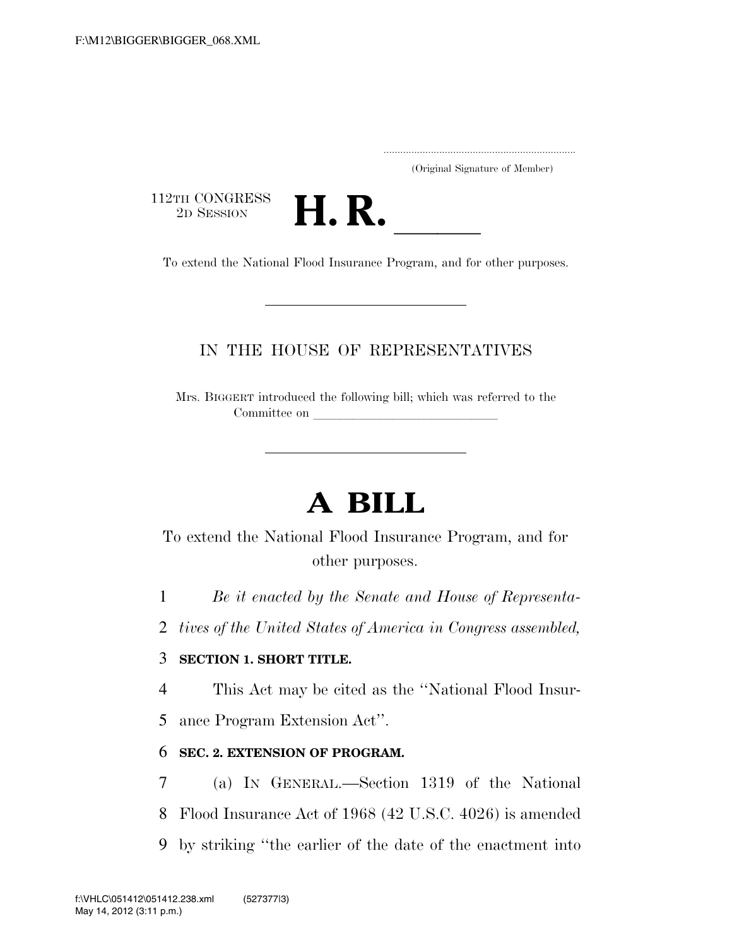.....................................................................

(Original Signature of Member)

112TH CONGRESS<br>2D SESSION



2D SESSION **H. R.** ll To extend the National Flood Insurance Program, and for other purposes.

### IN THE HOUSE OF REPRESENTATIVES

Mrs. BIGGERT introduced the following bill; which was referred to the Committee on

# **A BILL**

To extend the National Flood Insurance Program, and for other purposes.

1 *Be it enacted by the Senate and House of Representa-*

2 *tives of the United States of America in Congress assembled,* 

### 3 **SECTION 1. SHORT TITLE.**

4 This Act may be cited as the ''National Flood Insur-

5 ance Program Extension Act''.

### 6 **SEC. 2. EXTENSION OF PROGRAM.**

7 (a) IN GENERAL.—Section 1319 of the National 8 Flood Insurance Act of 1968 (42 U.S.C. 4026) is amended 9 by striking ''the earlier of the date of the enactment into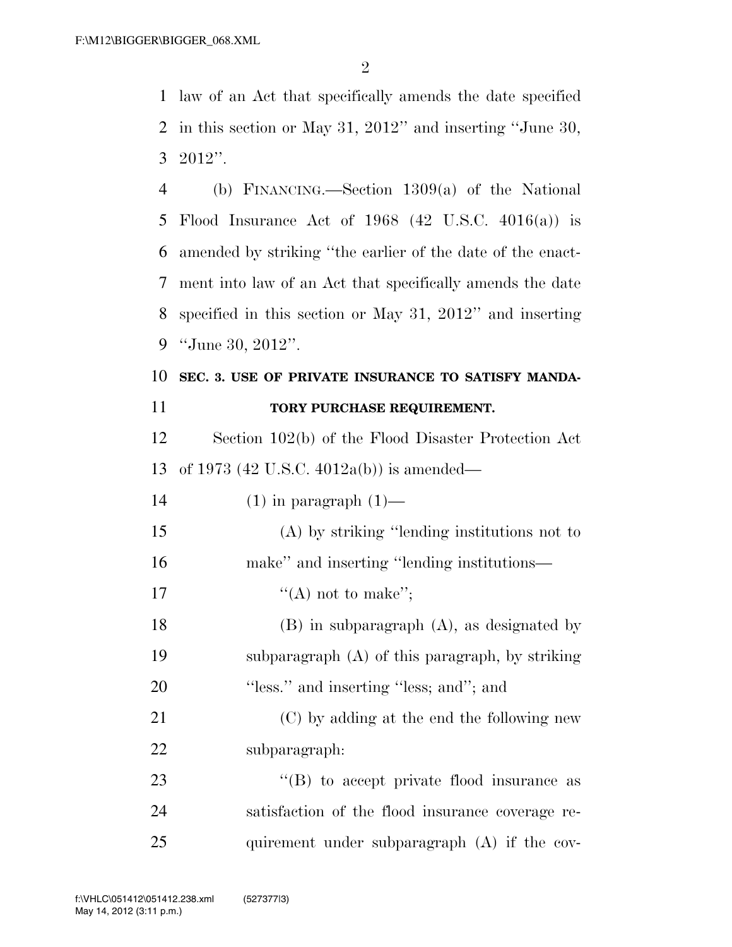law of an Act that specifically amends the date specified in this section or May 31, 2012'' and inserting ''June 30, 2012''.

 (b) FINANCING.—Section 1309(a) of the National Flood Insurance Act of 1968 (42 U.S.C. 4016(a)) is amended by striking ''the earlier of the date of the enact- ment into law of an Act that specifically amends the date specified in this section or May 31, 2012'' and inserting ''June 30, 2012''.

### **SEC. 3. USE OF PRIVATE INSURANCE TO SATISFY MANDA-TORY PURCHASE REQUIREMENT.**

 Section 102(b) of the Flood Disaster Protection Act of 1973 (42 U.S.C. 4012a(b)) is amended—

14  $(1)$  in paragraph  $(1)$ —

 (A) by striking ''lending institutions not to make'' and inserting ''lending institutions—

- 17  $"({\rm A})$  not to make";
- (B) in subparagraph (A), as designated by subparagraph (A) of this paragraph, by striking 20 "less." and inserting "less; and"; and

 (C) by adding at the end the following new subparagraph:

23 ''(B) to accept private flood insurance as satisfaction of the flood insurance coverage re-25 quirement under subparagraph (A) if the cov-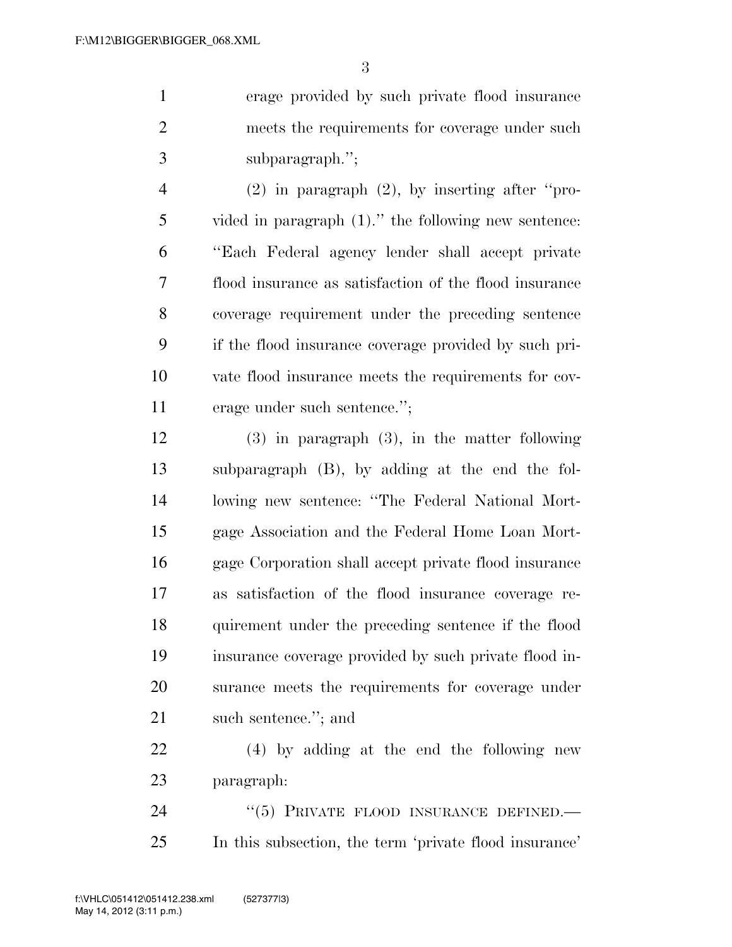erage provided by such private flood insurance meets the requirements for coverage under such subparagraph.'';

 (2) in paragraph (2), by inserting after ''pro- vided in paragraph (1).'' the following new sentence: ''Each Federal agency lender shall accept private flood insurance as satisfaction of the flood insurance coverage requirement under the preceding sentence if the flood insurance coverage provided by such pri- vate flood insurance meets the requirements for cov-erage under such sentence.'';

 (3) in paragraph (3), in the matter following subparagraph (B), by adding at the end the fol- lowing new sentence: ''The Federal National Mort- gage Association and the Federal Home Loan Mort- gage Corporation shall accept private flood insurance as satisfaction of the flood insurance coverage re- quirement under the preceding sentence if the flood insurance coverage provided by such private flood in- surance meets the requirements for coverage under 21 such sentence."; and

 (4) by adding at the end the following new paragraph:

24 "(5) PRIVATE FLOOD INSURANCE DEFINED. In this subsection, the term 'private flood insurance'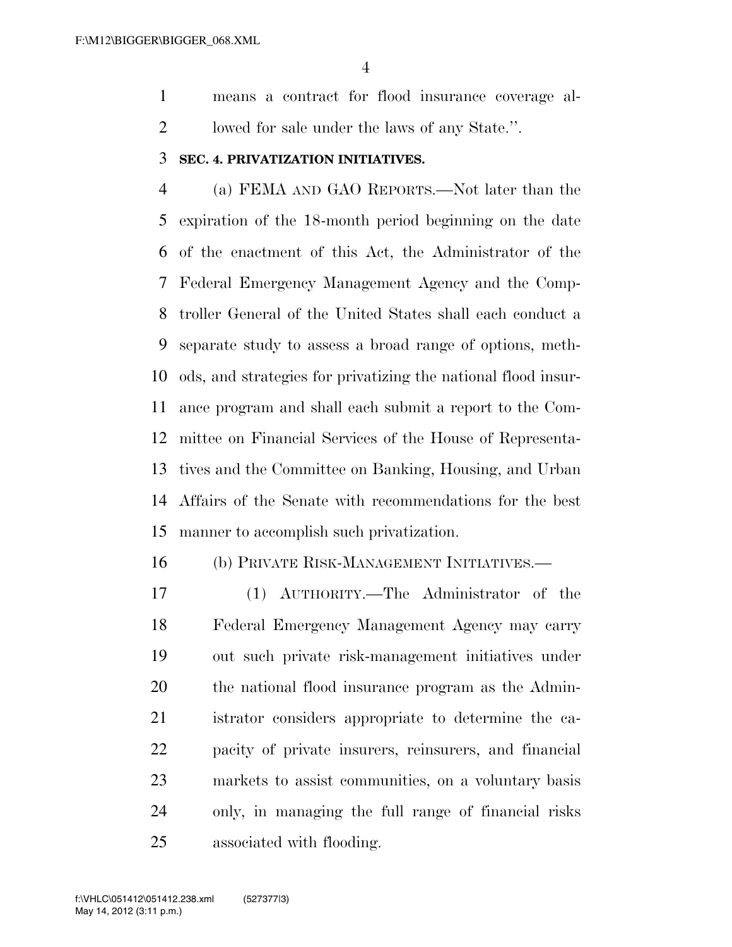means a contract for flood insurance coverage al-lowed for sale under the laws of any State.''.

#### **SEC. 4. PRIVATIZATION INITIATIVES.**

 (a) FEMA AND GAO REPORTS.—Not later than the expiration of the 18-month period beginning on the date of the enactment of this Act, the Administrator of the Federal Emergency Management Agency and the Comp- troller General of the United States shall each conduct a separate study to assess a broad range of options, meth- ods, and strategies for privatizing the national flood insur- ance program and shall each submit a report to the Com- mittee on Financial Services of the House of Representa- tives and the Committee on Banking, Housing, and Urban Affairs of the Senate with recommendations for the best manner to accomplish such privatization.

#### (b) PRIVATE RISK-MANAGEMENT INITIATIVES.—

 (1) AUTHORITY.—The Administrator of the Federal Emergency Management Agency may carry out such private risk-management initiatives under the national flood insurance program as the Admin- istrator considers appropriate to determine the ca- pacity of private insurers, reinsurers, and financial markets to assist communities, on a voluntary basis only, in managing the full range of financial risks associated with flooding.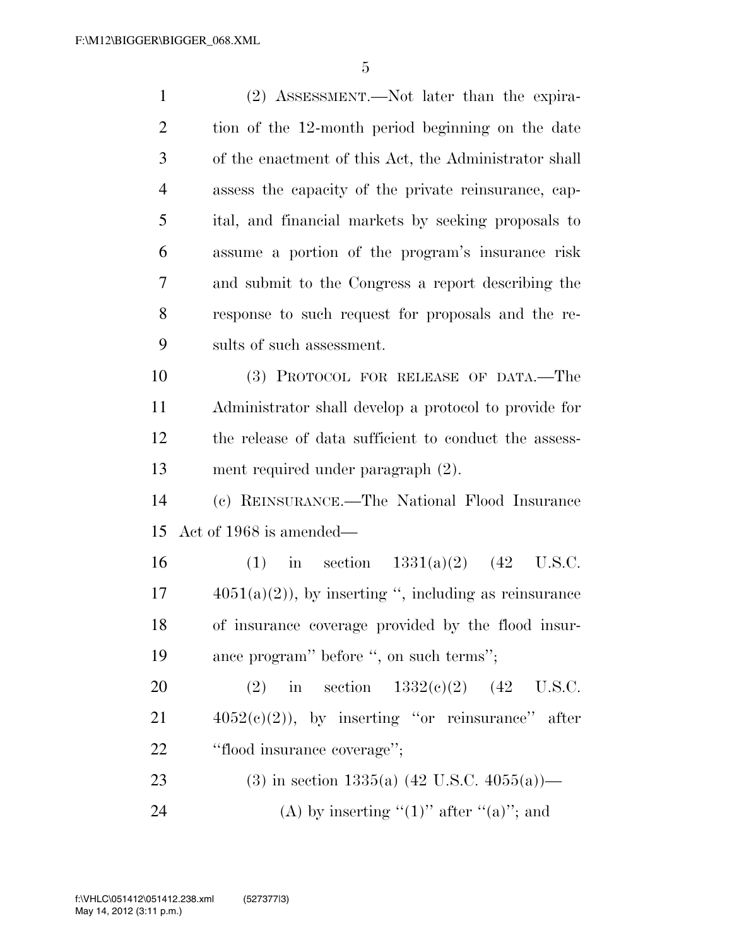(2) ASSESSMENT.—Not later than the expira- tion of the 12-month period beginning on the date of the enactment of this Act, the Administrator shall assess the capacity of the private reinsurance, cap- ital, and financial markets by seeking proposals to assume a portion of the program's insurance risk and submit to the Congress a report describing the response to such request for proposals and the re- sults of such assessment. (3) PROTOCOL FOR RELEASE OF DATA.—The Administrator shall develop a protocol to provide for the release of data sufficient to conduct the assess- ment required under paragraph (2). (c) REINSURANCE.—The National Flood Insurance Act of 1968 is amended— 16 (1) in section 1331(a)(2) (42 U.S.C.  $17 \qquad \qquad 4051(a)(2)$ , by inserting ", including as reinsurance of insurance coverage provided by the flood insur- ance program'' before '', on such terms''; 20 (2) in section  $1332(e)(2)$  (42 U.S.C.  $4052(c)(2)$ , by inserting "or reinsurance" after ''flood insurance coverage''; 23 (3) in section  $1335(a)$  (42 U.S.C.  $4055(a)$ )— 24 (A) by inserting " $(1)$ " after " $(a)$ "; and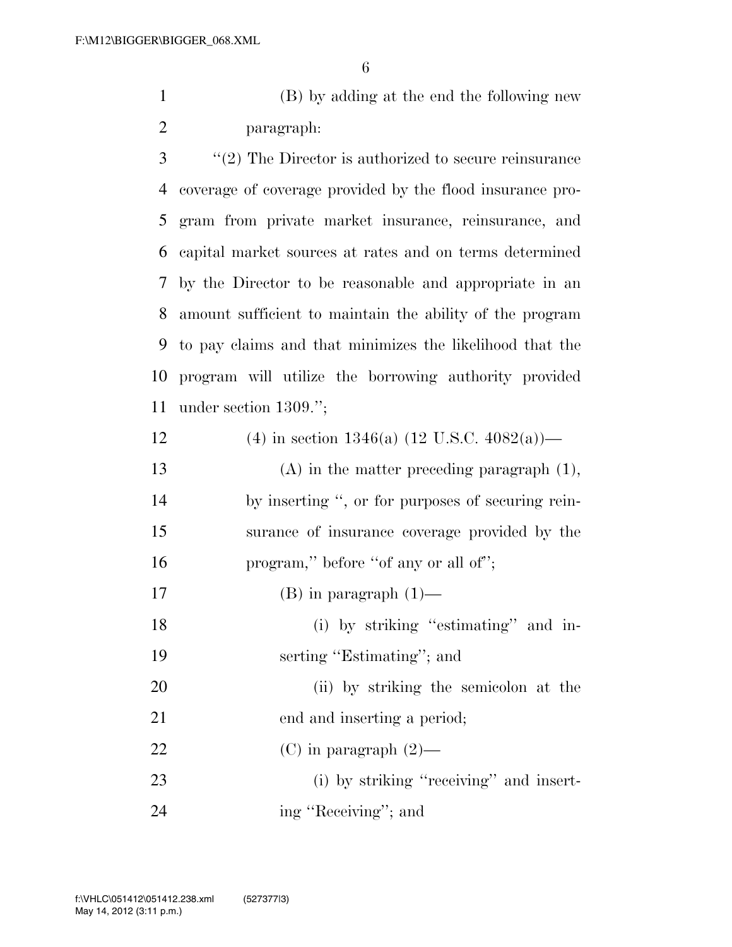(B) by adding at the end the following new paragraph:

 ''(2) The Director is authorized to secure reinsurance coverage of coverage provided by the flood insurance pro- gram from private market insurance, reinsurance, and capital market sources at rates and on terms determined by the Director to be reasonable and appropriate in an amount sufficient to maintain the ability of the program to pay claims and that minimizes the likelihood that the program will utilize the borrowing authority provided under section 1309.'';

| 12 | (4) in section 1346(a) $(12 \text{ U.S.C. } 4082(a))$ — |
|----|---------------------------------------------------------|
| 13 | $(A)$ in the matter preceding paragraph $(1)$ ,         |
| 14 | by inserting ", or for purposes of securing rein-       |
| 15 | surance of insurance coverage provided by the           |
| 16 | program," before "of any or all of";                    |
| 17 | $(B)$ in paragraph $(1)$ —                              |
| 18 | (i) by striking "estimating" and in-                    |
| 19 | serting "Estimating"; and                               |
| 20 | (ii) by striking the semicolon at the                   |
| 21 | end and inserting a period;                             |
| 22 | $(C)$ in paragraph $(2)$ —                              |
| 23 | (i) by striking "receiving" and insert-                 |
| 24 | ing "Receiving"; and                                    |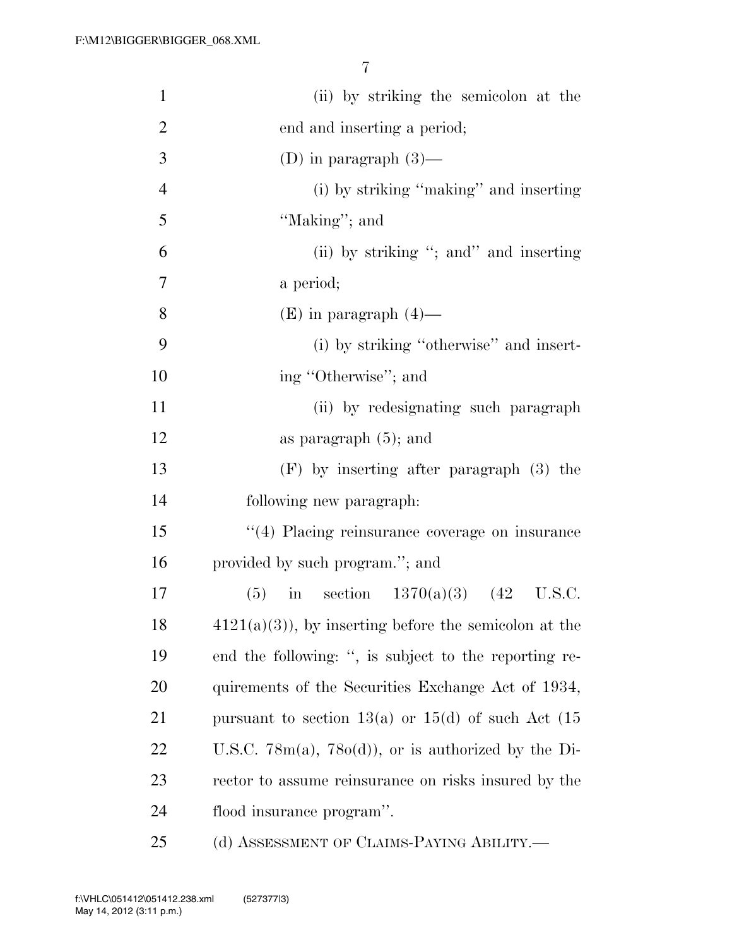| $\mathbf{1}$   | (ii) by striking the semicolon at the                    |
|----------------|----------------------------------------------------------|
| $\overline{2}$ | end and inserting a period;                              |
| 3              | (D) in paragraph $(3)$ —                                 |
| $\overline{4}$ | (i) by striking "making" and inserting                   |
| 5              | "Making"; and                                            |
| 6              | (ii) by striking "; and inserting                        |
| 7              | a period;                                                |
| 8              | $(E)$ in paragraph $(4)$ —                               |
| 9              | (i) by striking "otherwise" and insert-                  |
| 10             | ing "Otherwise"; and                                     |
| 11             | (ii) by redesignating such paragraph                     |
| 12             | as paragraph $(5)$ ; and                                 |
| 13             | $(F)$ by inserting after paragraph $(3)$ the             |
| 14             | following new paragraph:                                 |
| 15             | "(4) Placing reinsurance coverage on insurance           |
| 16             | provided by such program."; and                          |
| 17             | in section $1370(a)(3)$ (42 U.S.C.<br>(5)                |
| 18             | $4121(a)(3)$ , by inserting before the semicolon at the  |
| 19             | end the following: ", is subject to the reporting re-    |
| 20             | quirements of the Securities Exchange Act of 1934,       |
| 21             | pursuant to section 13(a) or 15(d) of such Act $(15$     |
| 22             | U.S.C. $78m(a)$ , $78o(d)$ , or is authorized by the Di- |
| 23             | rector to assume reinsurance on risks insured by the     |
| 24             | flood insurance program".                                |
| 25             | (d) ASSESSMENT OF CLAIMS-PAYING ABILITY.—                |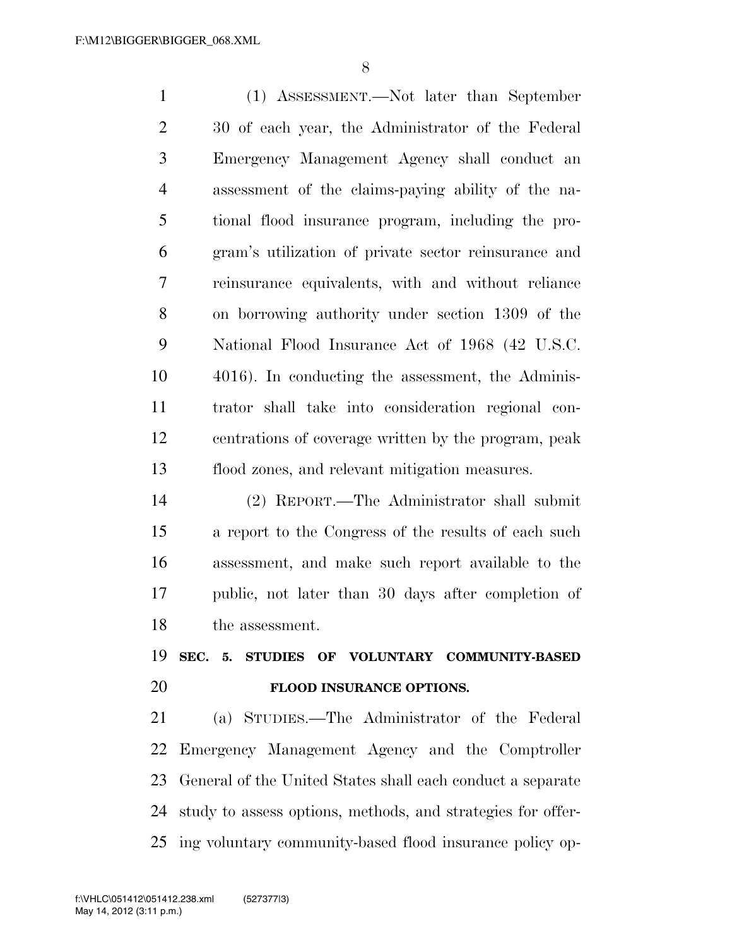(1) ASSESSMENT.—Not later than September 30 of each year, the Administrator of the Federal Emergency Management Agency shall conduct an assessment of the claims-paying ability of the na- tional flood insurance program, including the pro- gram's utilization of private sector reinsurance and reinsurance equivalents, with and without reliance on borrowing authority under section 1309 of the National Flood Insurance Act of 1968 (42 U.S.C. 4016). In conducting the assessment, the Adminis- trator shall take into consideration regional con- centrations of coverage written by the program, peak flood zones, and relevant mitigation measures.

 (2) REPORT.—The Administrator shall submit a report to the Congress of the results of each such assessment, and make such report available to the public, not later than 30 days after completion of the assessment.

## **SEC. 5. STUDIES OF VOLUNTARY COMMUNITY-BASED FLOOD INSURANCE OPTIONS.**

 (a) STUDIES.—The Administrator of the Federal Emergency Management Agency and the Comptroller General of the United States shall each conduct a separate study to assess options, methods, and strategies for offer-ing voluntary community-based flood insurance policy op-